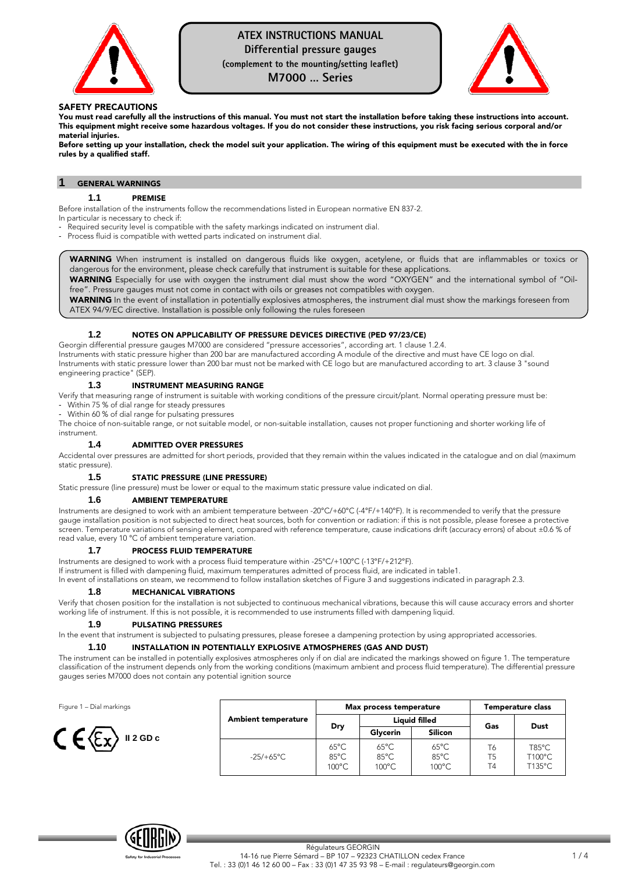

# **ATEX INSTRUCTIONS MANUAL**

**Differential pressure gauges** 

**(complement to the mounting/setting leaflet)** 

**M7000 … Series** 



## SAFETY PRECAUTIONS

You must read carefully all the instructions of this manual. You must not start the installation before taking these instructions into account. This equipment might receive some hazardous voltages. If you do not consider these instructions, you risk facing serious corporal and/or material injuries.

Before setting up your installation, check the model suit your application. The wiring of this equipment must be executed with the in force rules by a qualified staff.

## **1** GENERAL WARNINGS

## **1.1** PREMISE

Before installation of the instruments follow the recommendations listed in European normative EN 837-2.

In particular is necessary to check if:

Required security level is compatible with the safety markings indicated on instrument dial.

- Process fluid is compatible with wetted parts indicated on instrument dial.

WARNING When instrument is installed on dangerous fluids like oxygen, acetylene, or fluids that are inflammables or toxics or dangerous for the environment, please check carefully that instrument is suitable for these applications.

WARNING Especially for use with oxygen the instrument dial must show the word "OXYGEN" and the international symbol of "Oilfree". Pressure gauges must not come in contact with oils or greases not compatibles with oxygen.

WARNING In the event of installation in potentially explosives atmospheres, the instrument dial must show the markings foreseen from ATEX 94/9/EC directive. Installation is possible only following the rules foreseen

# **1.2** NOTES ON APPLICABILITY OF PRESSURE DEVICES DIRECTIVE (PED 97/23/CE)

Georgin differential pressure gauges M7000 are considered "pressure accessories", according art. 1 clause 1.2.4. Instruments with static pressure higher than 200 bar are manufactured according A module of the directive and must have CE logo on dial. Instruments with static pressure lower than 200 bar must not be marked with CE logo but are manufactured according to art. 3 clause 3 "sound engineering practice" (SEP).

# **1.3** INSTRUMENT MEASURING RANGE

Verify that measuring range of instrument is suitable with working conditions of the pressure circuit/plant. Normal operating pressure must be: - Within 75 % of dial range for steady pressures

Within 60 % of dial range for pulsating pressures

The choice of non-suitable range, or not suitable model, or non-suitable installation, causes not proper functioning and shorter working life of instrument.

## **1.4** ADMITTED OVER PRESSURES

Accidental over pressures are admitted for short periods, provided that they remain within the values indicated in the catalogue and on dial (maximum static pressure).

## **1.5** STATIC PRESSURE (LINE PRESSURE)

Static pressure (line pressure) must be lower or equal to the maximum static pressure value indicated on dial.

## **1.6** AMBIENT TEMPERATURE

Instruments are designed to work with an ambient temperature between -20°C/+60°C (-4°F/+140°F). It is recommended to verify that the pressure gauge installation position is not subjected to direct heat sources, both for convention or radiation: if this is not possible, please foresee a protective screen. Temperature variations of sensing element, compared with reference temperature, cause indications drift (accuracy errors) of about ±0.6 % of read value, every 10 °C of ambient temperature variation.

## **PROCESS FLUID TEMPERATURE**

Instruments are designed to work with a process fluid temperature within -25°C/+100°C (-13°F/+212°F).

If instrument is filled with dampening fluid, maximum temperatures admitted of process fluid, are indicated in table1.

In event of installations on steam, we recommend to follow installation sketches of Figure 3 and suggestions indicated in paragraph 2.3.

## **1.8** MECHANICAL VIBRATIONS

Verify that chosen position for the installation is not subjected to continuous mechanical vibrations, because this will cause accuracy errors and shorter working life of instrument. If this is not possible, it is recommended to use instruments filled with dampening liquid.

## **1.9** PULSATING PRESSURES

In the event that instrument is subjected to pulsating pressures, please foresee a dampening protection by using appropriated accessories.

## **1.10** INSTALLATION IN POTENTIALLY EXPLOSIVE ATMOSPHERES (GAS AND DUST)

The instrument can be installed in potentially explosives atmospheres only if on dial are indicated the markings showed on figure 1. The temperature classification of the instrument depends only from the working conditions (maximum ambient and process fluid temperature). The differential pressure gauges series M7000 does not contain any potential ignition source

Figure 1 – Dial markings



| <b>Ambient temperature</b> |                                                     | Max process temperature                   | Temperature class                                   |                |                                     |
|----------------------------|-----------------------------------------------------|-------------------------------------------|-----------------------------------------------------|----------------|-------------------------------------|
|                            | Dry                                                 | <b>Liauid filled</b>                      |                                                     | Gas            | Dust                                |
|                            |                                                     | Glycerin                                  | Silicon                                             |                |                                     |
| $-25/+65^{\circ}$ C        | $65^{\circ}$ C<br>$85^{\circ}$ C<br>$100^{\circ}$ C | $65^{\circ}$ C<br>85°C<br>$100^{\circ}$ C | $65^{\circ}$ C<br>$85^{\circ}$ C<br>$100^{\circ}$ C | T6<br>T5<br>T4 | $T85^{\circ}$ C<br>T100°C<br>T135°C |

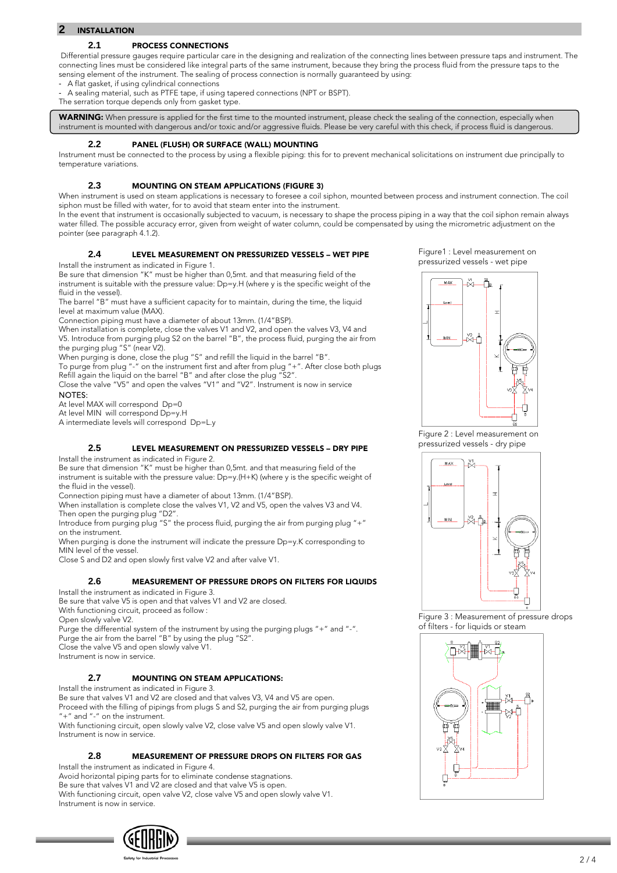# **2** INSTALLATION

## **2.1** PROCESS CONNECTIONS

Differential pressure gauges require particular care in the designing and realization of the connecting lines between pressure taps and instrument. The connecting lines must be considered like integral parts of the same instrument, because they bring the process fluid from the pressure taps to the sensing element of the instrument. The sealing of process connection is normally guaranteed by using:

A flat gasket, if using cylindrical connections

A sealing material, such as PTFE tape, if using tapered connections (NPT or BSPT).

The serration torque depends only from gasket type.

WARNING: When pressure is applied for the first time to the mounted instrument, please check the sealing of the connection, especially when instrument is mounted with dangerous and/or toxic and/or aggressive fluids. Please be very careful with this check, if process fluid is dangerous.

### **2.2** PANEL (FLUSH) OR SURFACE (WALL) MOUNTING

Instrument must be connected to the process by using a flexible piping: this for to prevent mechanical solicitations on instrument due principally to temperature variations.

## **2.3** MOUNTING ON STEAM APPLICATIONS (FIGURE 3)

When instrument is used on steam applications is necessary to foresee a coil siphon, mounted between process and instrument connection. The coil siphon must be filled with water, for to avoid that steam enter into the instrument.

In the event that instrument is occasionally subjected to vacuum, is necessary to shape the process piping in a way that the coil siphon remain always water filled. The possible accuracy error, given from weight of water column, could be compensated by using the micrometric adjustment on the pointer (see paragraph 4.1.2).

## **2.4** LEVEL MEASUREMENT ON PRESSURIZED VESSELS – WET PIPE

Install the instrument as indicated in Figure 1.

Be sure that dimension "K" must be higher than 0,5mt. and that measuring field of the instrument is suitable with the pressure value: Dp=y.H (where y is the specific weight of the fluid in the vessel).

The barrel "B" must have a sufficient capacity for to maintain, during the time, the liquid level at maximum value (MAX).

Connection piping must have a diameter of about 13mm. (1/4"BSP).

When installation is complete, close the valves V1 and V2, and open the valves V3, V4 and V5. Introduce from purging plug S2 on the barrel "B", the process fluid, purging the air from the purging plug "S" (near V2).

When purging is done, close the plug "S" and refill the liquid in the barrel "B".

To purge from plug "-" on the instrument first and after from plug "+". After close both plugs Refill again the liquid on the barrel "B" and after close the plug "S2".

Close the valve "V5" and open the valves "V1" and "V2". Instrument is now in service NOTES:

At level MAX will correspond Dp=0

At level MIN will correspond Dp=y.H

A intermediate levels will correspond Dp=L.y

# **2.5** LEVEL MEASUREMENT ON PRESSURIZED VESSELS – DRY PIPE

Install the instrument as indicated in Figure 2.

Be sure that dimension "K" must be higher than 0,5mt. and that measuring field of the instrument is suitable with the pressure value: Dp=y.(H+K) (where y is the specific weight of the fluid in the vessel).

Connection piping must have a diameter of about 13mm. (1/4"BSP).

When installation is complete close the valves V1, V2 and V5, open the valves V3 and V4. Then open the purging plug "D2".

Introduce from purging plug "S" the process fluid, purging the air from purging plug "+" on the instrument.

When purging is done the instrument will indicate the pressure Dp=y.K corresponding to MIN level of the vessel.

Close S and D2 and open slowly first valve V2 and after valve V1.

# **2.6** MEASUREMENT OF PRESSURE DROPS ON FILTERS FOR LIQUIDS

Install the instrument as indicated in Figure 3.

Be sure that valve V5 is open and that valves V1 and V2 are closed. With functioning circuit, proceed as follow :

Open slowly valve V2.

Purge the differential system of the instrument by using the purging plugs "+" and "-". Purge the air from the barrel "B" by using the plug "S2".

Close the valve V5 and open slowly valve V1.

Instrument is now in service.

# **2.7** MOUNTING ON STEAM APPLICATIONS:

Install the instrument as indicated in Figure 3.

Be sure that valves V1 and V2 are closed and that valves V3, V4 and V5 are open.

Proceed with the filling of pipings from plugs S and S2, purging the air from purging plugs +" and "-" on the instrument.

With functioning circuit, open slowly valve V2, close valve V5 and open slowly valve V1. Instrument is now in service.

# **2.8** MEASUREMENT OF PRESSURE DROPS ON FILTERS FOR GAS

Install the instrument as indicated in Figure 4.

Avoid horizontal piping parts for to eliminate condense stagnations. Be sure that valves V1 and V2 are closed and that valve V5 is open. With functioning circuit, open valve V2, close valve V5 and open slowly valve V1. Instrument is now in service.





Figure 2 : Level measurement on pressurized vessels - dry pipe



Figure 3 : Measurement of pressure drops of filters - for liquids or steam

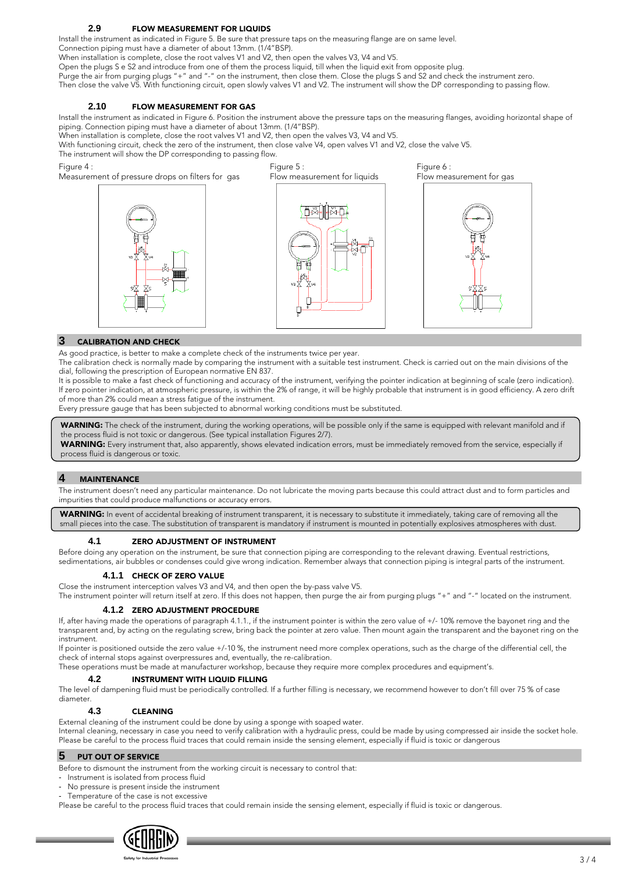# **2.9** FLOW MEASUREMENT FOR LIQUIDS

Install the instrument as indicated in Figure 5. Be sure that pressure taps on the measuring flange are on same level.

Connection piping must have a diameter of about 13mm. (1/4"BSP).

When installation is complete, close the root valves V1 and V2, then open the valves V3, V4 and V5.

Open the plugs S e S2 and introduce from one of them the process liquid, till when the liquid exit from opposite plug.

Purge the air from purging plugs "+" and "-" on the instrument, then close them. Close the plugs S and S2 and check the instrument zero. Then close the valve V5. With functioning circuit, open slowly valves V1 and V2. The instrument will show the DP corresponding to passing flow.

## **2.10** FLOW MEASUREMENT FOR GAS

Install the instrument as indicated in Figure 6. Position the instrument above the pressure taps on the measuring flanges, avoiding horizontal shape of piping. Connection piping must have a diameter of about 13mm. (1/4"BSP).

When installation is complete, close the root valves V1 and V2, then open the valves V3, V4 and V5.

With functioning circuit, check the zero of the instrument, then close valve V4, open valves V1 and V2, close the valve V5.

The instrument will show the DP corresponding to passing flow.

## Figure 4:

Measurement of pressure drops on filters for gas





Figure 6: Flow measurement for gas



# **3** CALIBRATION AND CHECK

As good practice, is better to make a complete check of the instruments twice per year.

The calibration check is normally made by comparing the instrument with a suitable test instrument. Check is carried out on the main divisions of the dial, following the prescription of European normative EN 837.

It is possible to make a fast check of functioning and accuracy of the instrument, verifying the pointer indication at beginning of scale (zero indication). If zero pointer indication, at atmospheric pressure, is within the 2% of range, it will be highly probable that instrument is in good efficiency. A zero drift of more than 2% could mean a stress fatigue of the instrument.

Every pressure gauge that has been subjected to abnormal working conditions must be substituted.

WARNING: The check of the instrument, during the working operations, will be possible only if the same is equipped with relevant manifold and if the process fluid is not toxic or dangerous. (See typical installation Figures 2/7).

WARNING: Every instrument that, also apparently, shows elevated indication errors, must be immediately removed from the service, especially if process fluid is dangerous or toxic.

# **4** MAINTENANCE

The instrument doesn't need any particular maintenance. Do not lubricate the moving parts because this could attract dust and to form particles and impurities that could produce malfunctions or accuracy errors.

WARNING: In event of accidental breaking of instrument transparent, it is necessary to substitute it immediately, taking care of removing all the small pieces into the case. The substitution of transparent is mandatory if instrument is mounted in potentially explosives atmospheres with dust.

## **4.1** ZERO ADJUSTMENT OF INSTRUMENT

Before doing any operation on the instrument, be sure that connection piping are corresponding to the relevant drawing. Eventual restrictions, sedimentations, air bubbles or condenses could give wrong indication. Remember always that connection piping is integral parts of the instrument.

# **4.1.1** CHECK OF ZERO VALUE

Close the instrument interception valves V3 and V4, and then open the by-pass valve V5.

The instrument pointer will return itself at zero. If this does not happen, then purge the air from purging plugs "+" and "-" located on the instrument.

# **4.1.2** ZERO ADJUSTMENT PROCEDURE

If, after having made the operations of paragraph 4.1.1., if the instrument pointer is within the zero value of +/- 10% remove the bayonet ring and the transparent and, by acting on the regulating screw, bring back the pointer at zero value. Then mount again the transparent and the bayonet ring on the instrument.

If pointer is positioned outside the zero value +/-10 %, the instrument need more complex operations, such as the charge of the differential cell, the check of internal stops against overpressures and, eventually, the re-calibration.

These operations must be made at manufacturer workshop, because they require more complex procedures and equipment's.

## **4.2** INSTRUMENT WITH LIQUID FILLING

The level of dampening fluid must be periodically controlled. If a further filling is necessary, we recommend however to don't fill over 75 % of case diameter.

## **4.3** CLEANING

External cleaning of the instrument could be done by using a sponge with soaped water.

Internal cleaning, necessary in case you need to verify calibration with a hydraulic press, could be made by using compressed air inside the socket hole. Please be careful to the process fluid traces that could remain inside the sensing element, especially if fluid is toxic or dangerous

# **5** PUT OUT OF SERVICE

Before to dismount the instrument from the working circuit is necessary to control that:

- Instrument is isolated from process fluid
- No pressure is present inside the instrument
- Temperature of the case is not excessive

Please be careful to the process fluid traces that could remain inside the sensing element, especially if fluid is toxic or dangerous.